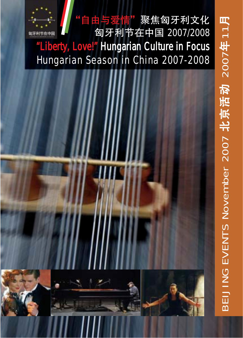

BEIJING EVENTS November 2007

北京活动 2007

4<br>年 11

月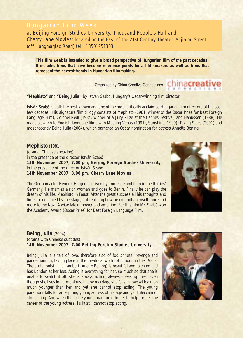# Hungarian Film Week

at Beijing Foreign Studies University, Thousand People's Hall and Cherry Lane Movies: located on the East of the 21st Century Theater, Anjialou Street (off Liangmaqiao Road),tel.: 13501251303

*This film week is intended to give a broad perspective of Hungarian film of the past decades. It includes films that have become reference points for all filmmakers as well as films that represent the newest trends in Hungarian filmmaking.*

Organized by China Creative Connections

**"Mephisto"** and **"Being Julia"** by István Szabó, Hungary's Oscar-winning film director

**István Szabó** is both the best-known and one of the most critically acclaimed Hungarian film directors of the past few decades. His signature film trilogy consists of Mephisto (1981, winner of the Oscar Prize for Best Foreign Language Film), Colonel Redl (1984, winner of a Jury Prize at the Cannes Festival) and Hanussen (1988). He made a switch to English-language films with Meeting Venus (1991), Sunshine (1999), Taking Sides (2001) and most recently Being Julia (2004), which garnered an Oscar nomination for actress Annette Bening.

#### **Mephisto** (1981)

(drama, Chinese speaking) in the presence of the director István Szabó **13th November 2007, 7.00 pm, Beijing Foreign Studies University** in the presence of the director István Szabó **14th November 2007, 8.00 pm, Cherry Lane Movies**

The German actor Hendrik Höfgen is driven by immense ambition in the thirties' Germany. He marries a rich woman and goes to Berlin. Finally he can play the dream of his life, Mephisto in Faust. After the great success all his thoughts and time are occupied by the stage, not realising how he commits himself more and more to the Nazi. A wise tale of power and ambition. For this film Mr. Szabó won the Academy Award (Oscar Prize) for Best Foreign Language Film.

### **Being Julia** (2004) (drama with Chinese subtitles) **14th November 2007, 7.00 Beijing Foreign Studies University**

Being Julia is a tale of love, therefore also of foolishness, revenge and pandemonium, taking place in the theatrical world of London in the 1930s. The protagonist Julia Lambert (Anette Bening) is beautiful and talented and has London at her feet. Acting is everything for her, so much so that she is unable to switch it off: she is always acting, always speaking lines. Even though she lives in harmonious, happy marriage she falls in love with a man much younger than her and yet she cannot stop acting. The young paramour falls for an aspiring young actress of his age and yet Julia cannot stop acting. And when the fickle young man turns to her to help further the career of the young actress, Julia still cannot stop acting...





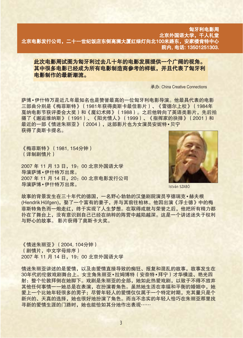### 匈牙利电影周 北京外国语大学,千人礼堂 北京电影发行公司,二十一世纪饭店东侧高澜大厦红绿灯向北100米路东,安家楼肯特中心 院内, 电话: 13501251303.

### 此次电影周试图为匈牙利过去几十年的电影发展提供一个广阔的视角。 其中很多电影已经成为所有电影制造商参考的样板,并且代表了匈牙利 电影制作的最新潮流。

承办: China Creative Connections

萨博•伊什特万是近几年最知名也是赞誉最高的一位匈牙利电影导演。他最具代表的电影 三部曲分别是《梅菲斯特》(1981年获得奥斯卡最佳影片)、《雷德尔上校》(1984年 戛纳电影节获评委会大奖)和《魔幻术师》(1988)。之后他转向了英语类影片,先后拍 摄了《邂逅维纳斯》(1991)、《阳光情人》(1999)、《指挥家的抉择》(2001)和 最近的一部《情迷朱丽亚》(2004),这部影片也为女演员安妮特•贝宁 获得了奥斯卡提名。

《梅菲斯特》 (1981, 154分钟) (译制剧情片)

2007 年 11 月 13 日, 19: 00 北京外国语大学 异演萨博•伊什特万出席。 2007 年 11 月 14 日, 20: 00 北京电影发行公司 异演萨博•伊什特万出席。



István SZABÓ

故事的背景发生在三十年代的德国,一名野心勃勃的汉堡剧院演员亨德瑞克•赫夫根 (Hendrik Höfgen), 娶了一个富有的妻子, 并与其前往柏林。他因出演《浮士德》中的梅 菲斯特角色而一炮走红,终于实现了人生梦想。在取得成就与荣誉之后,他把所有精力都 扑在了舞台上,没有意识到自己已经在纳粹的阵营中越陷越深。这是一个讲述迷失于权利 与野心的故事。 影片获得了奥斯卡大奖。

《情迷朱丽亚》 (2004, 104分钟) (剧情片,中文字母排序) 2007 年 11 月 14 日, 19: 00 北京外国语大学

情迷朱丽亚讲述的是爱情,以及由爱情直接导致的痴狂、报复和混乱的故事,故事发生在 30年代的伦敦戏剧舞台上。女主角朱丽亚•拉姆博特(安奈特•拜宁)才华横溢、艳光四 射:整个伦敦拜倒在她脚下。戏剧是朱丽亚的全部,她如此热爱戏剧,以致于不得不放弃 其他任何事情一一她总是在表演,在扮演着角色。虽然她生活在幸福和平衡的婚姻中,她 爱上一个比她年轻很多的男子;尽管年轻人的爱情仅仅属于一个特定时期,充其量只是个 新兴的、天真的选择,她也很好地扮演了角色。而当不忠实的年轻人恰巧在朱丽亚那里找 寻新的爱情生涯的门路时, 她也能恰如其分地作出表现……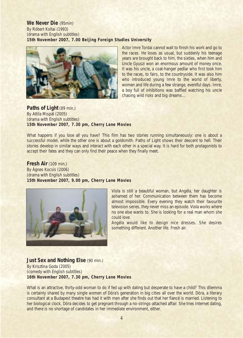**We Never Die** (95min) By Róbert Koltai (1993) (drama with English subtitles) **15th November 2007, 7.00 Beijing Foreign Studies University**



Actor Imre Tordai cannot wait to finish his work and go to the races. He loses as usual, but suddenly his teenage years are brought back to him, the sixties, when him and Uncle Gyuszi won an enormous amount of money once. It was his uncle, a coat-hanger pedlar who first took him to the races, to fairs, to the countryside. It was also him who introduced young Imre to the world of liberty, women and life during a few strange, eventful days. Imre, a boy full of inhibitions was baffled watching his uncle chasing wild risks and big dreams…

#### **Paths of Light** (89 min.) By Attila Mispál (2005) (drama with English subtitles) **15th November 2007, 7.30 pm, Cherry Lane Movies**

What happens if you lose all you have? This film has two stories running simultaneously: one is about a successful model, while the other one is about a goldsmith. Paths of Light shows their descent to hell. Their stories develop in similar ways and interact with each other in a special way. It is hard for both protagonists to accept their fates and they can only find their peace when they finally meet.

### **Fresh Air** (109 min.) By Ágnes Kocsis (2006) (drama with English subtitles) **15th November 2007, 9.00 pm, Cherry Lane Movies**



Viola is still a beautiful woman, but Angéla, her daughter is ashamed of her. Communication between them has become almost impossible. Every evening they watch their favourite television series, they never miss an episode. Viola works where no one else wants to. She is looking for a real man whom she could love.

Angéla would like to design nice dresses. She desires something different. Another life. Fresh air.

#### **Just Sex and Nothing Else (90 min.)** By Krisztina Goda (2005) (comedy with English subtitles) **16th November 2007, 7.30 pm, Cherry Lane Movies**

What is an attractive, thirty-odd woman to do if fed up with dating but desperate to have a child? This dilemma is certainly shared by many single women of Dóra's generation in big cities all over the world. Dóra, a literary consultant at a Budapest theatre has had it with men after she finds out that her fiancé is married. Listening to her biological clock, Dóra decides to get pregnant through a no-strings-attached affair. She tries Internet dating, and there is no shortage of candidates in her immediate environment, either.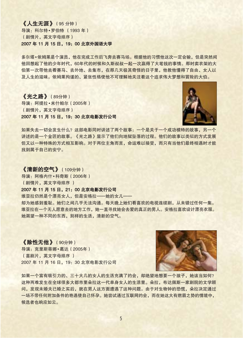# 《人生无涯》(95分钟)

导演: 科尔特·罗伯特 (1993年) (剧情片, 英文字母排序) 2007年11月15日, 19: 00 北京外国语大学

多尔塔•依姆莱是个演员,他在完成工作后飞奔去赛马场。根据他的习惯他这次一定会输,但是突然间 他回想起了他的少年时代, 60年代的时候和久斯叔叔一起一次赢得了大笔钱的事情。那时卖衣架的大 伯第一次带他去看赛马、去外地、去集市,在那几天极其奇怪的日子里,他教他懂得了自由、女人以 及人生的滋味。依姆莱拘谨的、紧张性格使他不可理解地关注着这个追求伟大梦想和冒险的大伯。

### 《光之路》(89分钟) 导演: 阿提拉·米什帕尔 (2005年) (剧情片, 英文字母排序) 2007年11月15日, 19: 30 北京电影发行公司



如果失去一切会发生什么?这部电影同时讲述了两个故事:一个是关于一个成功模特的故事,另一个 讲述的是一个金匠的故事。《光之路》显示了他们向地狱坠落的过程。他们的故事以类似的方式发展 但又以一种特殊的方式相互影响。对于两位主角而言,命运难以接受,而只有当他们最终相遇时才能 找到属于自己的安宁。

#### 《清新的空气》(109分钟)

导演: 阿格内什·科奇斯 (2006年) (剧情片,英文字母排序)

### 2007年11月15日, 21: 00 北京电影发行公司

维亚拉仍然是个漂亮女人,但是安格拉 -- 她的女儿 --

却为她感到羞耻。她们之间几乎无法沟通。每天晚上她们看喜欢的电视连续剧,从未错过任何一集。 维亚拉在一个无人愿意去的地方工作,她一直寻找她会去爱的真正的男人。安格拉喜欢设计漂亮衣服。 她渴望一种不同的东西,别样的生活,清新的空气。

《除性无他》(90分钟) 导演: 克里斯蒂娜·葛达 (2005年) (喜剧片,英文字母排序) 2007年11月16日, 19: 30 北京电影发行公司



如果一个富有吸引力的、三十大几的女人的生活充满了约会,却绝望地想要一个孩子,她该当如何? 这种两难发生在全球很多大都市里朵拉这一代单身女人的生活里。朵拉,布达佩斯一家剧院的文学顾 问,发现未婚夫已婚之实后,就在男人这方面遭遇了这种问题。由于对生物钟的恐慌,朵拉决定通过 一场不带任何附加条件的艳遇使自己怀孕。她尝试通过互联网约会,而在她这大有燃眉之势的情境中, 候选者也响应如云。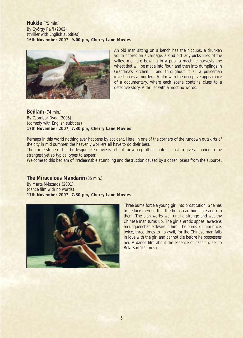**Hukkle** (75 min.) By György Pálfi (2002) (thriller with English subtitles) **16th November 2007, 9.00 pm, Cherry Lane Movies**



An old man sitting on a bench has the hiccups, a drunken youth snores on a carriage, a kind old lady picks lilies of the valley, men are bowling in a pub, a machine harvests the wheat that will be made into flour, and then into dumplings in Grandma's kitchen – and throughout it all a policeman investigates a murder... A film with the deceptive appearance of a documentary, where each scene contains clues to a detective story. A thriller with almost no words.

#### **Bedlam** (74 min.) By Zsombor Dyga (2005) (comedy with English subtitles) **17th November 2007, 7.30 pm, Cherry Lane Movies**

Perhaps in this world nothing ever happens by accident. Here, in one of the corners of the rundown outskirts of the city in mid summer, the heavenly workers all have to do their best.

The cornerstone of this burlesque-like movie is a hunt for a bag full of photos – just to give a chance to the strangest yet so typical types to appear.

Welcome to this bedlam of irredeemable stumbling and destruction caused by a dozen losers from the suburbs.

### **The Miraculous Mandarin** (35 min.)

By Márta Mészáros (2001) (dance film with no words) **17th November 2007, 7.30 pm, Cherry Lane Movies**



Three bums force a young girl into prostitution. She has to seduce men so that the bums can humiliate and rob them. The plan works well until a strange and wealthy Chinese man turns up. The girl's erotic appeal awakens an unquenchable desire in him. The bums kill him once, twice, three times to no avail, for the Chinese man falls in love with the girl and cannot die before he possesses her. A dance film about the essence of passion, set to Béla Bartók's music.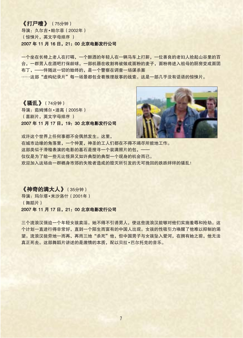### 《打尸唷》 (75分钟)

导演: 久尔吉·帕尔菲 (2002年) (惊悚片, 英文字母排序) 2007年11月16日, 21: 00 北京电影发行公司

一个坐在长椅上老人在打嗝,一个醉酒的年轻人在一辆马车上打鼾,一位善良的老妇人拾起山谷里的百 合,一群男人在酒吧打保龄球,一部机器在收割将被做成面粉的麦子,面粉将进入祖母的厨房变成面团 布丁, --伴随这一切的始终的, 是一个警察在调查一场谋杀案

……这部"虚构纪录片"每一场景都包含着推理故事的线索。这是一部几乎没有话语的惊悚片。

《骚乱》(74分钟) 导演: 茹姆博尔·迪高 (2005年) (喜剧片,英文字母排序) 2007年11月17日, 19: 30 北京电影发行公司



或许这个世界上任何事都不会偶然发生。这里, 在城市边缘的角落里, 一个仲夏, 神圣的工人们都在不得不竭尽所能地工作。 这部类似于滑稽表演的电影的基石是搜寻一个装满照片的包, --仅仅是为了给一些无比怪异又如许典型的典型一个现身的机会而已。 欢迎加入这场由一群栖身市郊的失败者造成的毁灭所引发的无可挽回的跌跌绊绊的骚乱!

## 《神奇的满大人》(35分钟)

导演: 玛尔塔·米沙洛什 (2001年) (舞蹈片) 2007年11月17日, 21: 00 北京电影发行公司

三个流浪汉强迫一个年轻女孩卖淫。她不得不引诱男人,使这些流浪汉能够对他们实施羞辱和抢劫。这 个计划一直进行得非常好,直到一个陌生而富有的中国人出现。女孩的性吸引力唤醒了他难以抑制的渴 望。流浪汉徒劳地一而再、再而三地"杀死"他,但中国男子与女孩坠入爱河,在拥有她之前,他无法 真正死去。这部舞蹈片讲述的是激情的本质, 配以贝拉·巴尔托克的音乐。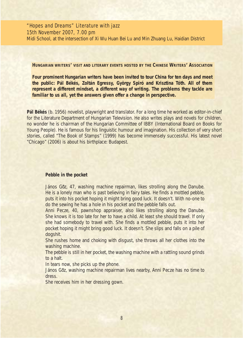"Hopes and Dreams" Literature with jazz 15th November 2007, 7.00 pm Midi School, at the intersection of Xi Wu Huan Bei Lu and Min Zhuang Lu, Haidian District

**HUNGARIAN WRITERS' VISIT AND LITERARY EVENTS HOSTED BY THE CHINESE WRITERS' ASSOCIATION**

*Four prominent Hungarian writers have been invited to tour China for ten days and meet the public: Pál Békés, Zoltán Egressy, György Spiró and Krisztina Tóth. All of them represent a different mindset, a different way of writing. The problems they tackle are familiar to us all, yet the answers given offer a change in perspective.*

**Pál Békés** (b. 1956) novelist, playwright and translator. For a long time he worked as editor-in-chief for the Literature Department of Hungarian Television. He also writes plays and novels for children, no wonder he is chairman of the Hungarian Committee of IBBY (International Board on Books for Young People). He is famous for his linguistic humour and imagination. His collection of very short stories, called "The Book of Stamps" (1999) has become immensely successful. His latest novel "Chicago" (2006) is about his birthplace: Budapest.

#### *Pebble in the pocket*

János Gőz, 47, washing machine repairman, likes strolling along the Danube. *He is a lonely man who is past believing in fairy tales. He finds a mottled pebble, puts it into his pocket hoping it might bring good luck. It doesn't. With no-one to do the sewing he has a hole in his pocket and the pebble falls out.*

*Anni Pecze, 40, pawnshop appraiser, also likes strolling along the Danube. She knows it is too late for her to have a child. At least she should travel. If only she had somebody to travel with. She finds a mottled pebble, puts it into her pocket hoping it might bring good luck. It doesn't. She slips and falls on a pile of dogshit.*

*She rushes home and choking with disgust, she throws all her clothes into the washing machine.*

*The pebble is still in her pocket, the washing machine with a rattling sound grinds to a halt.*

*In tears now, she picks up the phone.*

János Göz, washing machine repairman lives nearby, Anni Pecze has no time to *dress.*

*She receives him in her dressing gown.*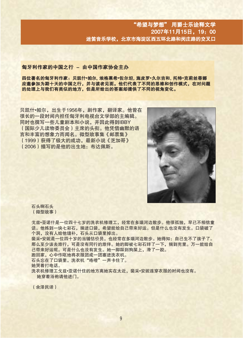#### 匈牙利作家的中国之行 - 由中国作家协会主办

四位著名的匈牙利作家:贝凯什•帕尔,埃格莱希•佐尔坦,施皮罗•久尔吉和,托特•克莉丝蒂娜 应邀参加为期十天的中国之行,并与读者见面。他们代表了不同的思维和创作模式,在对问题 的处理上与我们有类似的地方,但是所给出的答案却提供了不同的视角变化。

贝凯什•帕尔, 出生于1956年, 剧作家, 翻译家。他曾在 很长的一段时间内担任匈牙利电视台文学部的主编辑。 同时也撰写一些儿童剧本和小说,并因此得到IBBY (国际少儿读物委员会)主席的头衔。他凭借幽默的语 言和丰富的想象力而闻名。微型故事集《邮票集》 (1999) 获得了极大的成功, 最新小说《芝加哥》 (2006)描写的是他的出生地: 布达佩斯。



石头啊石头 (微型故事)

戈兹•亚诺什是一位四十七岁的洗衣机修理工, 经常在多瑙河边散步。他很孤独, 早已不相信童 话。他拣到一块七彩石,揣进口袋,希望能给自己带来好运。但是什么也没有发生。口袋破了 个洞,没有人给他缝补,石头从口袋里掉出。 裴采•安妮是一位四十岁的当铺估价员,也经常在多瑙河边散步。她得知:自己生不了孩子了。 那么至少该去旅行,可是没有同行的旅伴。她的脚被七彩石绊了一下,揣到兜里。万一能给自 己带来好运呢。可是什么也没有发生。她一脚踩到狗屎上,滑了一跤。 跑回家,心中作呕地将衣服团成一团塞进洗衣机。 石头忘在了口袋里, 洗衣机"咯噔"一声卡住了。 她哭着打电话。 洗衣机修理工戈兹•亚诺什住的地方离她实在太近, 裴采•安妮连穿衣服的时间也没有。 她穿着浴袍请他讲门。

(余泽民译)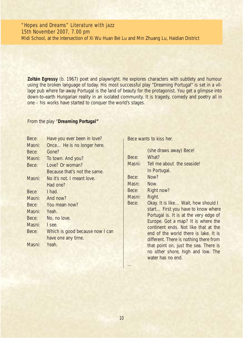# "Hopes and Dreams" Literature with jazz 15th November 2007, 7.00 pm

Midi School, at the intersection of Xi Wu Huan Bei Lu and Min Zhuang Lu, Haidian District

**Zoltán Egressy** (b. 1967) poet and playwright. He explores characters with subtlety and humour using the broken language of today. His most successful play "Dreaming Portugal" is set in a village pub where far-away Portugal is the land of beauty for the protagonist. You get a glimpse into down-to-earth Hungarian reality in an isolated community. It is tragedy, comedy and poetry all in one – his works have started to conquer the world's stages.

### From the play *"Dreaming Portugal"*

| Bece:  | Have you ever been in love?     |
|--------|---------------------------------|
| Masni: | Once He is no longer here.      |
| Bece:  | Gone?                           |
| Masni: | To town. And you?               |
| Bece:  | Love? Or woman?                 |
|        | Because that's not the same.    |
| Masni: | No it's not. I meant love.      |
|        | Had one?                        |
| Bece:  | I had.                          |
| Masni: | And now?                        |
| Bece:  | You mean now?                   |
| Masni: | Yeah.                           |
| Bece:  | No, no love.                    |
| Masni: | I see.                          |
| Bece:  | Which is good because now I can |
|        | have one any time.              |
| Masni: | Yeah.                           |
|        |                                 |

Bece wants to kiss her.

|        | (she draws away) Bece!                 |
|--------|----------------------------------------|
| Bece:  | What?                                  |
| Masni: | Tell me about the seaside!             |
|        | In Portugal.                           |
| Bece:  | Now?                                   |
| Masn:  | Now.                                   |
| Bece:  | Right now?                             |
| Masni: | Right.                                 |
| Bece:  | Okay. It is like Wait, how should I    |
|        | start First you have to know where     |
|        | Portugal is. It is at the very edge of |
|        | Europe. Got a map? It is where the     |
|        | continent ends. Not like that at the   |
|        | end of the world there is lake. It is  |
|        | different. There is nothing there from |
|        | that point on, just the sea. There is  |
|        | no other shore, high and low. The      |
|        | water has no end.                      |
|        |                                        |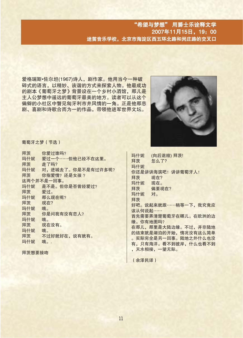爱格瑞斯·佐尔坦(1967)诗人,剧作家。他用当今一种破 碎式的语言,以精妙、诙谐的方式来探索人物。他最成功 的剧本《葡萄牙之梦》背景设在一个乡村小酒馆, 那儿是 主人公梦想中遥远的葡萄牙最美的地方。读者可以从这个 偏僻的小社区中瞥见匈牙利市井风情的一角。正是他那悲 剧、喜剧和诗歌合而为一的作品,带领他进军世界文坛。



葡萄牙之梦 (节选)

拜茨 你爱过谁吗? 玛什妮 爱过一个 …… 但他已经不在这里。 拜茨 走了吗? 对, 进城去了。你是不是有过许多呢? 玛什妮 拜茨 你指爱情?还是女孩? 这两个并不是一回事。 是不是。但你是否曾经爱过? 玛什妮 拜茨 爱过。 那么现在呢? 玛什妮 拜茨 现在? 玛什妮 哦。 你是问我有没有恋人? 拜茨 玛什妮 哦。 现在没有。 拜茨 玛什妮 哦。 拜茨 不过好就好在, 说有就有。 玛什妮 哦。.

拜茨想要接吻

(向后退缩) 拜茨! 玛什妮 拜茨 怎么了? 玛什妮 你还是讲讲海滨吧! 讲讲葡萄牙人! 拜茨 现在? 玛什妮 现在。 偏要现在? 拜茨 玛什妮 对。 拜茨 好吧。说起来就跟 …… 稍等一下, 我究竟应 该从何说起 …… 首先需要弄清楚葡萄牙在哪儿。在欧洲的边 缘。你有地图吗? 在那儿, 那里是大陆边缘。不过, 并非陆地 的结束就是湖泊的开始,情况没有这么简单 。实际完全是另一回事。陆地之外什么也没 有,只有海洋。看不到彼岸,什么也看不到 ,天水相接,一望无际。

(余泽民译)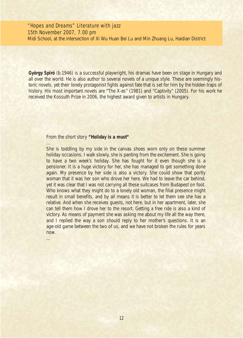# "Hopes and Dreams" Literature with jazz 15th November 2007, 7.00 pm

Midi School, at the intersection of Xi Wu Huan Bei Lu and Min Zhuang Lu, Haidian District

**György Spiró** (b.1946) is a successful playwright, his dramas have been on stage in Hungary and all over the world. He is also author to several novels of a unique style. These are seemingly historic novels, yet their lonely protagonist fights against fate that is set for him by the hidden traps of history. His most important novels are "The X-es" (1981) and "Captivity" (2005). For his work he received the Kossuth Prize in 2006, the highest award given to artists in Hungary.

#### From the short story *"Holiday is a must"*

*She is toddling by my side in the canvas shoes worn only on these summer holiday occasions. I walk slowly, she is panting from the excitement. She is going to have a two week's holiday. She has fought for it even though she is a pensioner. It is a huge victory for her, she has managed to get something done again. My presence by her side is also a victory. She could show that portly woman that it was her son who drove her here. We had to leave the car behind, yet it was clear that I was not carrying all these suitcases from Budapest on foot. Who knows what they might do to a lonely old woman, the filial presence might result in small benefits, and by all means it is better to let them see she has a relative. And when she receives guests, not here, but in her apartment, later, she can tell them how I drove her to the resort. Getting a free ride is also a kind of victory. As means of payment she was asking me about my life all the way there, and I replied the way a son should reply to her mother's questions. It is an age-old game between the two of us, and we have not broken the rules for years now.*

*…*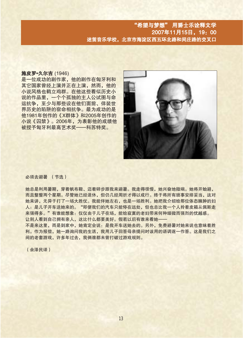## "希望与梦想" 用爵士乐诠释文学 2007年11月15日, 19: 00 迷笛音乐学校,北京市海淀区西五环北路和闵庄路的交叉口

#### 施皮罗·久尔吉 (1946)

是一位成功的剧作家。他的剧作在匈牙利和 其它国家曾经上演并正在上演,然而,他的 小说风格也鹤立鸡群。在他这些看似历史小 说的作品里, 一个个孤独的主人公试图与命 运抗争,至少与那些设在他们面前、佯装世 界历史的陷阱的宿命相抗争。最为成功的是 他1981年创作的《X群体》和2005年创作的 小说《囚禁》。2006年,为表彰他的成绩他 被授予匈牙利最高艺术奖——科苏特奖。



#### 必须去避暑 (节选)

她总是利用暑期,穿着帆布鞋、迈着碎步跟我来避暑。我走得很慢,她兴奋地微喘。她将开始避, 而且整整两个星期。尽管她已经退休,但仍几经周折才得以成行。终于将所有琐事安排妥当,这对 她来讲,无异于打了一场大胜仗。我能伴她左右,也是一场胜利。她把我介绍给那位体态臃肿的妇 人:是儿子开车送她来的。"即便我们的汽车只能停在远处,但也总比我一个人拎着皮箱从佩斯走 来强得多。"有谁能想象:仅仅由于儿子在场,能给寂寞的老妇带来何种细微而强烈的优越感。 让别人看到自己拥有亲人,这比什么都要美好。假若以后有谁来看她——

不是来这里,而是到家中,她肯定会说:是我开车送她去的。另外,免费避暑对她来说也意味着胜 利。作为报偿,她一路询问我的生活,我用儿子回答母亲提问时该用的语调逐一作答。这是我们之 间的老套游戏, 许多年过去, 我俩谁都未曾打破过游戏规则。

(余泽民译)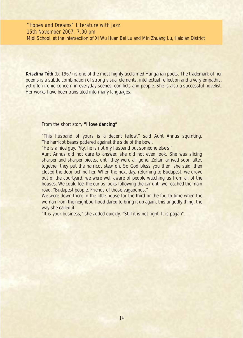## "Hopes and Dreams" Literature with jazz 15th November 2007, 7.00 pm

Midi School, at the intersection of Xi Wu Huan Bei Lu and Min Zhuang Lu, Haidian District

**Krisztina Tóth** (b. 1967) is one of the most highly acclaimed Hungarian poets. The trademark of her poems is a subtle combination of strong visual elements, intellectual reflection and a very empathic, yet often ironic concern in everyday scenes, conflicts and people. She is also a successful novelist. Her works have been translated into many languages.

From the short story *"I love dancing"*

*…*

*"This husband of yours is a decent fellow," said Aunt Annus squinting. The harricot beans pattered against the side of the bowl.* 

*"He is a nice guy. Pity, he is not my husband but someone else's."* 

*Aunt Annus did not dare to answer, she did not even look. She was slicing sharper and sharper pieces, until they were all gone. Zoltán arrived soon after, together they put the harricot stew on. So God bless you then, she said, then closed the door behind her. When the next day, returning to Budapest, we drove out of the courtyard, we were well aware of people watching us from all of the houses. We could feel the curios looks following the car until we reached the main road. "Budapest people. Friends of those vagabonds."* 

*We were down there in the little house for the third or the fourth time when the woman from the neighbourhood dared to bring it up again, this ungodly thing, the way she called it.* 

*"It is your business," she added quickly. "Still it is not right. It is pagan".*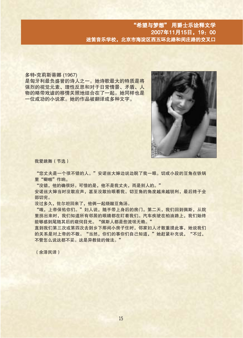多特·克莉斯蒂娜 (1967)

是匈牙利最负盛誉的诗人之一。她诗歌最大的特质是将 强烈的视觉元素、理性反思和对于日常情景、矛盾、人 物的略带戏谑的移情关照地结合在了一起。她同样也是 一位成功的小说家。她的作品被翻译成多种文字。



我爱跳舞 (节选)

"您丈夫是一个很不错的人。"安诺丝大婶边说边睨了我一眼。切成小段的豆角在铁锅 里"噼啪"作响。

"没错,他的确很好。可惜的是,他不是我丈夫,而是别人的。"

安诺丝大婶当时没敢应声,甚至没敢抬眼看我。切豆角的角度越来越锐利,最后终于全 部切完。

没过多久, 佐尔坦回来了, 他俩一起烧酸豆角汤。

"哦,上帝保佑你们。"妇人说,随手带上身后的房门。第二天,我们回到佩斯,从院 里拐出来时,我们知道所有邻居的眼睛都在盯着我们。汽车疾驶在柏油路上,我们始终 能够感到尾随其后的窥伺目光。"佩斯人都是些流氓无赖。"

直到我们第三次或第四次去到乡下那间小房子住时, 邻家妇人才敢重提此事, 她说我们 的关系是对上帝的不敬。"当然,你们的事你们自己知道,"她赶紧补充说,"不过, 不管怎么说这都不妥。这是异教徒的做法。"

(余泽民译)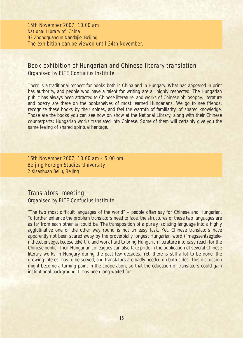15th November 2007, 10.00 am National Library of China 33 Zhongguancun Nandajie, Beijing The exhibition can be viewed until 24th November.

## Book exhibition of Hungarian and Chinese literary translation Organised by ELTE Confucius Institute

There is a traditional respect for books both is China and in Hungary. What has appeared in print has authority, and people who have a talent for writing are all highly respected. The Hungarian public has always been attracted to Chinese literature, and works of Chinese philosophy, literature and poetry are there on the bookshelves of most learned Hungarians. We go to see friends, recognize these books by their spines, and feel the warmth of familiarity, of shared knowledge. Those are the books you can see now on show at the National Library, along with their Chinese counterparts: Hungarian works translated into Chinese. Some of them will certainly give you the same feeling of shared spiritual heritage.

16th November 2007, 10.00 am – 5.00 pm Beijing Foreign Studies University 2 Xisanhuan Beilu, Beijing

# Translators' meeting Organised by ELTE Confucius Institute

"The two most difficult languages of the world" – people often say for Chinese and Hungarian. To further enhance the problem translators need to face, the structures of these two languages are as far from each other as could be. The transposition of a purely isolating language into a highly agglutinative one or the other way round is not an easy task. Yet, Chinese translators have apparently not been scared away by the proverbially longest Hungarian word ("megszentségteleníthetetlenségeskedéseitekért"), and work hard to bring Hungarian literature into easy reach for the Chinese public. Their Hungarian colleagues can also take pride in the publication of several Chinese literary works in Hungary during the past few decades. Yet, there is still a lot to be done, the growing interest has to be served, and translators are badly needed on both sides. This discussion might become a turning point in the cooperation, so that the education of translators could gain institutional background. It has been long waited for.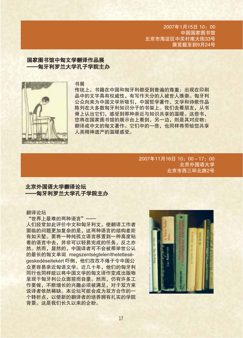2007年1月15日 10:00 中国国家图书馆 北京市海淀区中关村南大街33号 展览截至到9月24号

# 国家图书馆中匈文学翻译作品展 -匈牙利罗兰大学孔子学院主办



#### 书展

传统上, 书籍在中国和匈牙利都受到普遍的尊重: 出现在印刷 品中的文字具有权威性, 有写作天分的人被世人推崇。匈牙利 公众向来为中国文学所吸引,中国哲学著作、文学和诗歌作品 陈列在大多数匈牙利知识分子的书架上。我们去看朋友, 从书 脊上认出它们, 感受到那种亲近与知识共享的温暖。这些书, 您将在国家图书馆的展示台上看到,另一边,则是其对应物: 翻译成中文的匈文著作。它们中的一些,也同样将带给您共享 人类精神遗产的温暖感受。

> 2007年11月16日 10: 00-17: 00 北京外国语大学 北京市西三环北路2号

### 北京外国语大学翻译论坛 一匈牙利罗兰大学孔子学院主办

#### 翻译论坛

"世界上最难的两种语言" --

人们经常如此评价中文和匈牙利文。使翻译工作者 面临的问题更加复杂的是,这两种语言的结构差距 有如天堑。要将一种纯孤立语言移置到一种高度粘 着的语言中去,并非可以轻易完成的任务,反之亦 然。然而,显然的,中国译者可不会被那举世公认 的最长的匈文单词 megszentségteleníthetetleségeskedéseitekért 吓倒, 他们孜孜不倦于令中国公 众更容易亲近匈语文学。近几十年,他们的匈牙利 同行也同样能以将中国文学的匈文译作变成出版物 呈现于匈牙利公众面前而自豪。然而, 仍有许多工 作要做,不断增长的兴趣必须被满足,对于双方来 说译者依然稀缺。本论坛可能会成为双方合作的一 个转折点, 以使新的翻译者的培养拥有扎实的学院 背景。这是我们长久以来的企盼。

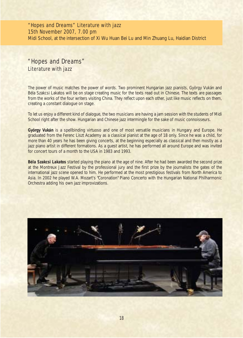# "Hopes and Dreams" Literature with jazz 15th November 2007, 7.00 pm

Midi School, at the intersection of Xi Wu Huan Bei Lu and Min Zhuang Lu, Haidian District

# "Hopes and Dreams" Literature with jazz

The power of music matches the power of words. Two prominent Hungarian jazz pianists, György Vukán and Béla Szakcsi Lakatos will be on stage creating music for the texts read out in Chinese. The texts are passages from the works of the four writers visiting China. They reflect upon each other, just like music reflects on them, creating a constant dialogue on stage.

To let us enjoy a different kind of dialogue, the two musicians are having a jam session with the students of Midi School right after the show. Hungarian and Chinese jazz intermingle for the sake of music connoisseurs.

**György Vukán** is a spellbinding virtuoso and one of most versatile musicians in Hungary and Europe. He graduated from the Ferenc Liszt Academy as a classical pianist at the age of 18 only. Since he was a child, for more than 40 years he has been giving concerts, at the beginning especially as classical and then mostly as a jazz piano artist in different formations. As a guest artist, he has performed all around Europe and was invited for concert tours of a month to the USA in 1983 and 1993.

**Béla Szakcsi Lakatos** started playing the piano at the age of nine. After he had been awarded the second prize at the Montreux Jazz Festival by the professional jury and the first prize by the journalists the gates of the international jazz scene opened to him. He performed at the most prestigious festivals from North America to Asia. In 2002 he played W.A. Mozart's "Coronation" Piano Concerto with the Hungarian National Philharmonic Orchestra adding his own jazz improvizations.

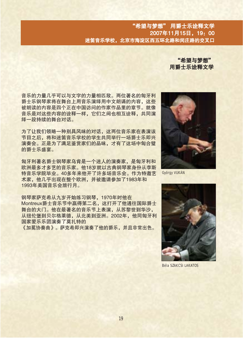"希望与梦想" 用爵士乐诠释文学

音乐的力量几乎可以与文字的力量相匹敌。两位著名的匈牙利 爵士乐钢琴家将在舞台上用音乐演绎用中文朗诵的内容,这些 被朗读的内容是四个正在中国访问的作家作品里的章节。就像 音乐是对这些内容的诠释一样, 它们之间也相互诠释, 共同演 绎一段持续的舞台对话。

为了让我们领略一种别具风味的对话。这两位音乐家在表演该 节目之后,将和迷笛音乐学校的学生共同举行一场爵十乐即兴 演奏会。正是为了满足鉴赏家们的品味,才有了这场中匈合璧 的爵十乐盛宴。

匈牙利著名爵士钢琴家乌肯是一个迷人的演奏家, 是匈牙利和 欧洲最多才多艺的音乐家。他18岁就以古典钢琴家身份从李斯 特音乐学院毕业。40多年来他开了许多场音乐会。作为特邀艺 术家,他几乎出现在整个欧洲,并被邀请参加了1983年和 1993年美国音乐会旅行月。

钢琴家萨克希从九岁开始练习钢琴, 1970年时他在 Montreux爵十音乐节中赢得第二名, 这打开了他通往国际爵十 舞台的大门。他在最著名的音乐节上表演,从苏黎世到华沙, 从纽伦堡到贝尔格莱德, 从北美到亚洲。2002年, 他同匈牙利 国家爱乐乐团演奏了莫扎特的 《加冕协奏曲》。萨克希即兴演奏了他的爵乐,并且非常出色。



**Györav VUKÁN** 



**Béla SZAKCSLI AKATOS**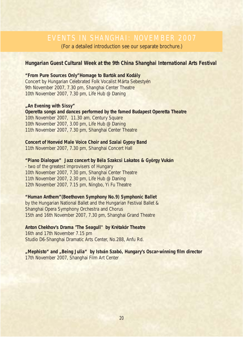# EVENTS IN SHANGHAI: NOVEMBER 2007

(For a detailed introduction see our separate brochure.)

### **Hungarian Guest Cultural Week at the 9th China Shanghai International Arts Festival**

**"From Pure Sources Only"Homage to Bartók and Kodály**  Concert by Hungarian Celebrated Folk Vocalist Márta Sebestyén 9th November 2007, 7.30 pm, Shanghai Center Theatre 10th November 2007, 7.30 pm, Life Hub @ Daning

#### **"An Evening with Sissy"**

**Operetta songs and dances performed by the famed Budapest Operetta Theatre** 10th November 2007, 11.30 am, Century Square 10th November 2007, 3.00 pm, Life Hub @ Daning 11th November 2007, 7.30 pm, Shanghai Center Theatre

### **Concert of Honvéd Male Voice Choir and Szalai Gypsy Band**

11th November 2007, 7.30 pm, Shanghai Concert Hall

**"Piano Dialogue" Jazz concert by Béla Szakcsi Lakatos & György Vukán** - two of the greatest improvisers of Hungary 10th November 2007, 7.30 pm, Shanghai Center Theatre 11th November 2007, 2.30 pm, Life Hub @ Daning 12th November 2007, 7.15 pm, Ningbo, Yi Fu Theatre

#### **"Human Anthem"(Beethoven Symphony No.9) Symphonic Ballet**

by the Hungarian National Ballet and the Hungarian Festival Ballet & Shanghai Opera Symphony Orchestra and Chorus 15th and 16th November 2007, 7.30 pm, Shanghai Grand Theatre

### **Anton Chekhov's Drama "The Seagull" by Krétakör Theatre**

16th and 17th November 7.15 pm Studio D6-Shanghai Dramatic Arts Center, No.288, Anfu Rd.

"Mephisto" and "Being Julia" by István Szabó, Hungary's Oscar-winning film director 17th November 2007, Shanghai Film Art Center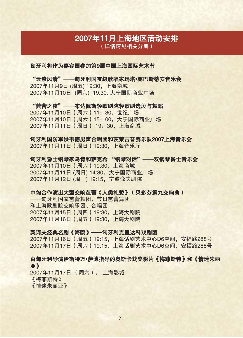# 2007年11月上海地区活动安排

(详情请见相关分册)

### 匈牙利将作为嘉宾国参加第9届中国上海国际艺术节

"云淡风清"——匈牙利国宝级歌唱家玛塔•塞巴斯蒂安音乐会 2007年11月9日 (周五) 19:30. 上海商城 2007年11月10日 (周六) 19:30. 大宁国际商业广场

"茜茜之夜" ——布达佩斯轻歌剧院轻歌剧选段与舞蹈 2007年11月10日 (周六) 11: 30, 世纪广场 2007年11月10日 (周六) 15: 00, 大宁国际商业广场 2007年11月11日 (周日) 19: 30. 上海商城

匈牙利国防军洪韦德男声合唱团和茨莱吉普赛乐队2007上海音乐会 2007年11月11日 (周日) 19:30, 上海音乐厅

匈牙利爵士钢琴家乌肯和萨克希 "钢琴对话"——双钢琴爵士音乐会 2007年11月10日 (周六) 19:30, 上海商城 2007年11月11日 (周日) 14:30. 大宁国际商业广场 2007年11月12日 (周一) 19:15. 宁波逸夫剧院

## 中匈合作演出大型交响芭蕾《人类礼赞》(贝多芬第九交响曲)

——匈牙利国家芭蕾舞团、节日芭蕾舞团 和上海歌剧院交响乐团、合唱团 2007年11月15日 (周四) 19:30, 上海大剧院 2007年11月16日 (周五) 19:30, 上海大剧院

### 契诃夫经典名剧《海鸥》——匈牙利克里达科戏剧团

2007年11月16日 (周五) 19:15. 上海话剧艺术中心D6空间, 安福路288号 2007年11月17日 (周六) 19:15, 上海话剧艺术中心D6空间, 安福路288号

### 由匈牙利导演伊斯特万•萨博指导的奥斯卡获奖影片《梅菲斯特》和《情迷朱丽 亚》

2007年11月17日 (周六), 上海影城 《梅菲斯特》 《情迷朱丽亚》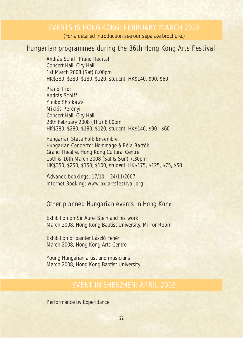# EVENTS IS HONG KONG: FEBRUARY-MARCH 2008

(For a detailed introduction see our separate brochure.)

# Hungarian programmes during the 36th Hong Kong Arts Festival

### András Schiff Piano Recital

Concert Hall, City Hall 1st March 2008 (Sat) 8.00pm HK\$380, \$280, \$180, \$120, student: HK\$140, \$90, \$60

### Piano Trio:

### András Schiff Yuuko Shiokawa Miklós Perényi

Concert Hall, City Hall 28th February 2008 (Thu) 8.00pm HK\$380, \$280, \$180, \$120, student: HK\$140, \$90 , \$60

### Hungarian State Folk Ensemble

# Hungarian Concerto: Hommage à Béla Bartók

Grand Theatre, Hong Kong Cultural Centre 15th & 16th March 2008 (Sat & Sun) 7.30pm HK\$350, \$250, \$150, \$100, student: HK\$175, \$125, \$75, \$50

Advance bookings: 17/10 – 24/11/2007 Internet Booking: www.hk.artsfestival.org

# Other planned Hungarian events in Hong Kong

Exhibition on Sir Aurel Stein and his work March 2008, Hong Kong Baptist University, Mirror Room

Exhibition of painter László Fehér March 2008, Hong Kong Arts Centre

Young Hungarian artist and musicians March 2008, Hong Kong Baptist University

# EVENT IN SHENZHEN: APRIL 2008

Performance by Experidance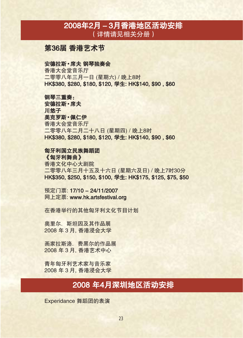# 2008年2月-3月香港地区活动安排 (详情请见相关分册)

# 第36届 香港艺术节

### 安德拉斯·席夫 钢琴独奏会

香港大会堂音乐厅 二零零八年三月一日 (星期六) / 晚上8时 HK\$380, \$280, \$180, \$120, 学生: HK\$140, \$90, \$60

### 钢琴三重奏:

安德拉斯·席夫 川悠子 美克罗斯·佩仁伊 香港大会堂音乐厅 二零零八年二月二十八日 (星期四) / 晚上8时 HK\$380, \$280, \$180, \$120, 学生: HK\$140, \$90, \$60

### 匈牙利国立民族舞蹈团

《匈牙利舞曲》 香港文化中心大剧院 二零零八年三月十五及十六日 (星期六及日) / 晚上7时30分 HK\$350, \$250, \$150, \$100, 学生: HK\$175, \$125, \$75, \$50

预定门票: 17/10 - 24/11/2007 网上定票: www.hk.artsfestival.org

在香港举行的其他匈牙利文化节目计划

奥里尔. 斯坦因及其作品展 2008 年 3 月, 香港浸会大学

画家拉斯洛、费黑尔的作品展 2008年3月, 香港艺术中心

青年匈牙利艺术家与音乐家 2008 年3月, 香港浸会大学

# 2008年4月深圳地区活动安排

Experidance 舞蹈团的表演